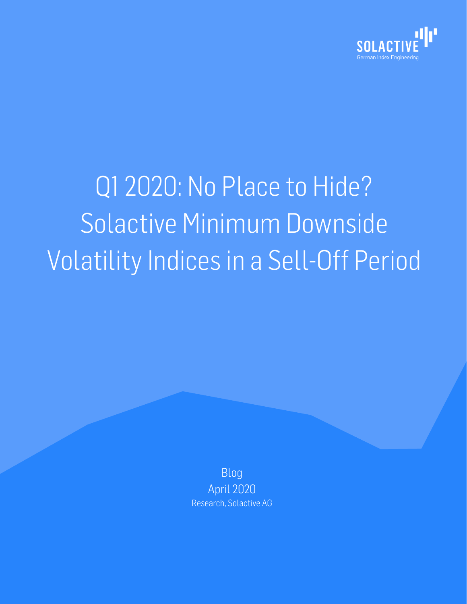

# Q1 2020: No Place to Hide? Solactive Minimum Downside Volatility Indices in a Sell-Off Period

Blog April 2020 Research, Solactive AG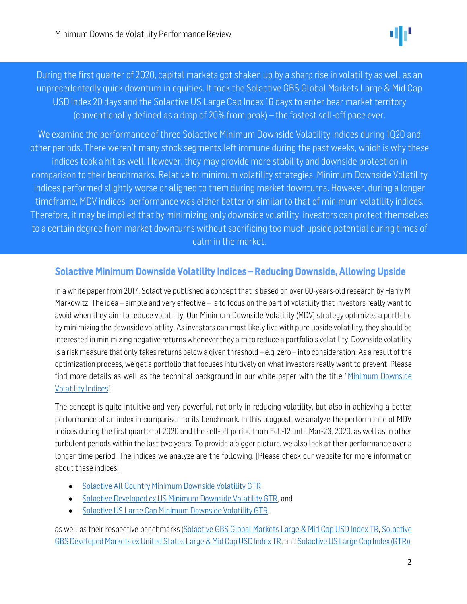

 $\overline{\phantom{0}}$ .<br>F During the first quarter of 2020, capital markets got shaken up by a sharp rise in volatility as well as an unprecedentedly quick downturn in equities. It took the Solactive GBS Global Markets Large & Mid Cap USD Index 20 days and the Solactive US Large Cap Index16 days to enter bear market territory (conventionally defined as a drop of 20% from peak) – the fastest sell-off pace ever.

 $\mathbf{r}$  $\overline{\phantom{a}}$  $\overline{a}$  $\ddot{\phantom{0}}$  $\ddot{\phantom{0}}$  $\frac{1}{2}$ We examine the performance of three Solactive Minimum Downside Volatility indices during 1Q20 and other periods. There weren't many stock segments left immune during the past weeks, which is why these indices took a hit as well. However, they may provide more stability and downside protection in comparison to their benchmarks. Relative to minimum volatility strategies, Minimum Downside Volatility indices performed slightly worse or aligned to them during market downturns. However, during a longer timeframe, MDV indices' performance was either better or similar to that of minimum volatility indices. Therefore, it may be implied that by minimizing only downside volatility, investors can protect themselves to a certain degree from market downturns without sacrificing too much upside potential during times of calm in the market.

## Solactive Minimum Downside Volatility Indices – Reducing Downside, Allowing Upside

In a white paper from 2017, Solactive published a concept that is based on over 60-years-old research by Harry M. Markowitz. The idea – simple and very effective – is to focus on the part of volatility that investors really want to avoid when they aim to reduce volatility. Our Minimum Downside Volatility (MDV) strategy optimizes a portfolio by minimizing the downside volatility. As investors can most likely live with pure upside volatility, they should be interested in minimizing negative returns whenever they aim to reduce a portfolio's volatility. Downside volatility is a risk measure that only takes returns below a given threshold – e.g. zero – into consideration. As a result of the optimization process, we get a portfolio that focuses intuitively on what investors really want to prevent. Please find more details as well as the technical background in our white paper with the title "[Minimum Downside](https://www.solactive.com/wp-content/uploads/2018/04/Solactive_Minimum-Downside-Volatility-Indices.pdf)  [Volatility Indices](https://www.solactive.com/wp-content/uploads/2018/04/Solactive_Minimum-Downside-Volatility-Indices.pdf)".

The concept is quite intuitive and very powerful, not only in reducing volatility, but also in achieving a better performance of an index in comparison to its benchmark. In this blogpost, we analyze the performance of MDV indices during the first quarter of 2020 and the sell-off period from Feb-12 until Mar-23, 2020, as well as in other turbulent periods within the last two years. To provide a bigger picture, we also look at their performance over a longer time period. The indices we analyze are the following. [Please check our website for more information about these indices.]

- [Solactive All Country Minimum Downside Volatility GTR,](https://www.solactive.com/indices/?se=1&index=DE000SLA3UX7)
- [Solactive Developed ex US Minimum Downside Volatility GTR,](https://www.solactive.com/indices/?se=1&index=DE000SLA3U06) and
- [Solactive US Large Cap Minimum Downside Volatility GTR,](https://www.solactive.com/indices/?se=1&index=DE000SLA3TY7)

as well as their respective benchmarks [\(Solactive GBS Global Markets Large & Mid Cap USD Index TR,](https://www.solactive.com/indices/?se=1&index=DE000SLA7737) [Solactive](https://www.solactive.com/indices/?se=1&index=DE000SLA4HL7)  [GBS Developed Markets ex United States Large & Mid Cap USD Index TR,](https://www.solactive.com/indices/?se=1&index=DE000SLA4HL7) an[d Solactive US Large Cap Index \(GTR\)\)](https://www.solactive.com/indices/?se=1&index=DE000SLA0Q47).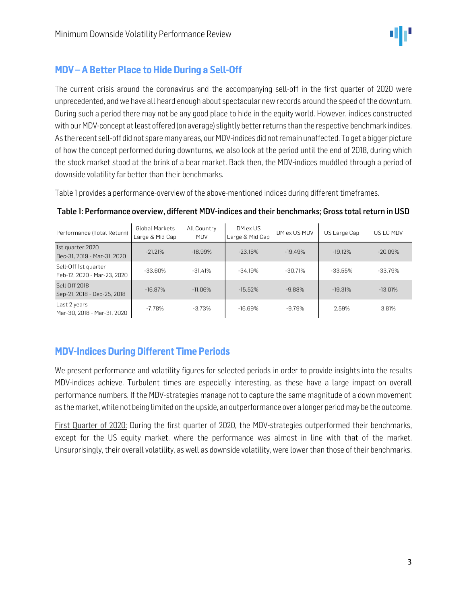

# MDV – A Better Place to Hide During a Sell-Off

The current crisis around the coronavirus and the accompanying sell-off in the first quarter of 2020 were unprecedented, and we have all heard enough about spectacular new records around the speed of the downturn. During such a period there may not be any good place to hide in the equity world. However, indices constructed with our MDV-concept at least offered (on average) slightly better returns than the respective benchmark indices. As the recent sell-off did not spare many areas, our MDV-indices did not remain unaffected. To get a bigger picture of how the concept performed during downturns, we also look at the period until the end of 2018, during which the stock market stood at the brink of a bear market. Back then, the MDV-indices muddled through a period of downside volatility far better than their benchmarks.

Table 1 provides a performance-overview of the above-mentioned indices during different timeframes.

| Performance (Total Return)                          | <b>Global Markets</b><br>Large & Mid Cap | All Country<br><b>MDV</b> | DM ex US<br>Large & Mid Cap | DM ex US MDV | US Large Cap | US LC MDV |
|-----------------------------------------------------|------------------------------------------|---------------------------|-----------------------------|--------------|--------------|-----------|
| 1st quarter 2020<br>Dec-31, 2019 - Mar-31, 2020     | $-21.21%$                                | $-18.99%$                 | $-23.16%$                   | $-19.49%$    | $-19.12%$    | $-20.09%$ |
| Sell-Off 1st quarter<br>Feb-12, 2020 - Mar-23, 2020 | $-33.60\%$                               | $-31.41%$                 | $-34.19%$                   | $-30.71%$    | $-33.55%$    | $-33.79%$ |
| Sell Off 2018<br>Sep-21, 2018 - Dec-25, 2018        | $-16.87%$                                | $-11.06%$                 | $-15.52%$                   | $-9.88%$     | $-19.31%$    | $-13.01%$ |
| Last 2 years<br>Mar-30, 2018 - Mar-31, 2020         | $-7.78%$                                 | $-3.73%$                  | $-16.69%$                   | $-9.79%$     | 2.59%        | 3.81%     |

#### Table 1: Performance overview, different MDV-indices and their benchmarks; Gross total return in USD

# MDV-Indices During Different Time Periods

We present performance and volatility figures for selected periods in order to provide insights into the results MDV-indices achieve. Turbulent times are especially interesting, as these have a large impact on overall performance numbers. If the MDV-strategies manage not to capture the same magnitude of a down movement as the market, while not being limited on the upside, an outperformance over a longer periodmay be the outcome.

First Quarter of 2020: During the first quarter of 2020, the MDV-strategies outperformed their benchmarks, except for the US equity market, where the performance was almost in line with that of the market. Unsurprisingly, their overall volatility, as well as downside volatility, were lower than those of their benchmarks.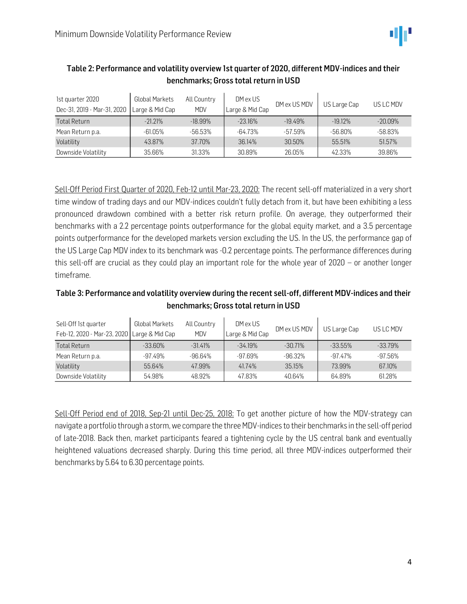

| 1st quarter 2020<br>Dec-31, 2019 - Mar-31, 2020 | <b>Global Markets</b><br>Large & Mid Cap | All Country<br><b>MDV</b> | DM ex US<br>Large & Mid Cap | DM ex US MDV | US Large Cap | US LC MDV |
|-------------------------------------------------|------------------------------------------|---------------------------|-----------------------------|--------------|--------------|-----------|
| <b>Total Return</b>                             | $-21.21%$                                | $-18.99%$                 | $-23.16%$                   | $-19.49%$    | $-19.12%$    | $-20.09%$ |
| Mean Return p.a.                                | $-61.05\%$                               | $-56.53%$                 | $-64.73%$                   | $-57.59\%$   | -56.80%      | $-58.83%$ |
| Volatility                                      | 43.87%                                   | 37.70%                    | 36.14%                      | 30.50%       | 55.51%       | 51.57%    |
| Downside Volatility                             | 35.66%                                   | 31.33%                    | 30.89%                      | 26.05%       | 42.33%       | 39.86%    |

#### Table 2: Performance and volatility overview 1st quarter of 2020, different MDV-indices and their benchmarks; Gross total return in USD

Sell-Off Period First Quarter of 2020, Feb-12 until Mar-23, 2020: The recent sell-off materialized in a very short time window of trading days and our MDV-indices couldn't fully detach from it, but have been exhibiting a less pronounced drawdown combined with a better risk return profile. On average, they outperformed their benchmarks with a 2.2 percentage points outperformance for the global equity market, and a 3.5 percentage points outperformance for the developed markets version excluding the US. In the US, the performance gap of the US Large Cap MDV index to its benchmark was -0.2 percentage points. The performance differences during this sell-off are crucial as they could play an important role for the whole year of 2020 – or another longer timeframe.

#### Table 3: Performance and volatility overview during the recent sell-off, different MDV-indices and their benchmarks; Gross total return in USD

| Sell-Off 1st quarter<br>Feb-12, 2020 - Mar-23, 2020   Large & Mid Cap | <b>Global Markets</b> | All Country<br><b>MDV</b> | DM ex US<br>Large & Mid Cap | DM ex US MDV | US Large Cap | US LC MDV |
|-----------------------------------------------------------------------|-----------------------|---------------------------|-----------------------------|--------------|--------------|-----------|
| <b>Total Return</b>                                                   | $-33.60\%$            | $-31.41%$                 | $-34.19%$                   | $-30.71%$    | $-33.55\%$   | $-33.79%$ |
| Mean Return p.a.                                                      | $-97.49\%$            | -96.64%                   | $-97.69%$                   | $-96.32%$    | $-97.47\%$   | -97.56%   |
| Volatility                                                            | 55.64%                | 47.99%                    | 41.74%                      | 35.15%       | 73.99%       | 67.10%    |
| Downside Volatility                                                   | 54.98%                | 48.92%                    | 47.83%                      | 40.64%       | 64.89%       | 61.28%    |

Sell-Off Period end of 2018, Sep-21 until Dec-25, 2018: To get another picture of how the MDV-strategy can navigate a portfolio through a storm, we compare the three MDV-indices to their benchmarks in the sell-off period of late-2018. Back then, market participants feared a tightening cycle by the US central bank and eventually heightened valuations decreased sharply. During this time period, all three MDV-indices outperformed their benchmarks by 5.64 to 6.30 percentage points.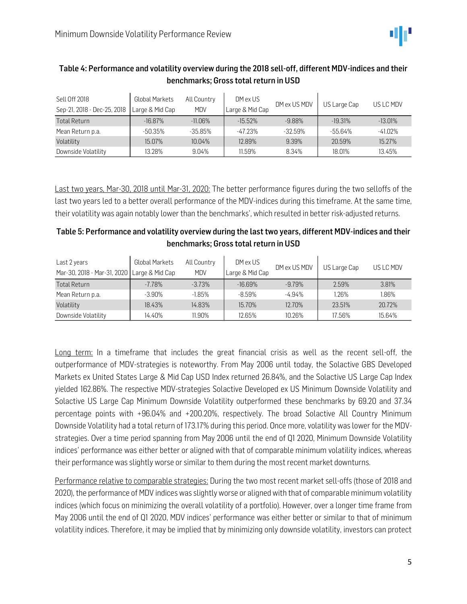

| Sell Off 2018<br>Sep-21, 2018 - Dec-25, 2018 | Global Markets<br>Large & Mid Cap | All Country<br><b>MDV</b> | DM ex US<br>Large & Mid Cap | DM ex US MDV | US Large Cap | US LC MDV  |
|----------------------------------------------|-----------------------------------|---------------------------|-----------------------------|--------------|--------------|------------|
| Total Return                                 | $-16.87\%$                        | $-11.06\%$                | $-15.52\%$                  | $-9.88\%$    | $-19.31%$    | $-13.01\%$ |
| Mean Return p.a.                             | $-50.35%$                         | $-35.85%$                 | -47.23%                     | $-32.59%$    | -55.64%      | -41.02%    |
| Volatility                                   | 15.07%                            | $10.04\%$                 | 12.89%                      | 9.39%        | 20.59%       | 15.27%     |
| Downside Volatility                          | 13.28%                            | 9.04%                     | 11.59%                      | 8.34%        | 18.01%       | 13.45%     |

#### Table 4: Performance and volatility overview during the 2018 sell-off, different MDV-indices and their benchmarks; Gross total return in USD

Last two years, Mar-30, 2018 until Mar-31, 2020: The better performance figures during the two selloffs of the last two years led to a better overall performance of the MDV-indices during this timeframe. At the same time, their volatility was again notably lower than the benchmarks', which resulted in better risk-adjusted returns.

| Table 5: Performance and volatility overview during the last two years, different MDV-indices and their |
|---------------------------------------------------------------------------------------------------------|
| benchmarks; Gross total return in USD                                                                   |

| Last 2 years<br>Mar-30, 2018 - Mar-31, 2020   Large & Mid Cap | <b>Global Markets</b> | All Country<br><b>MDV</b> | DM ex US<br>Large & Mid Cap | DM ex US MDV | US Large Cap | US LC MDV |
|---------------------------------------------------------------|-----------------------|---------------------------|-----------------------------|--------------|--------------|-----------|
| <b>Total Return</b>                                           | $-7.78%$              | $-3.73%$                  | $-16.69%$                   | $-9.79%$     | 2.59%        | 3.81%     |
| Mean Return p.a.                                              | $-3.90%$              | $-1.85%$                  | $-8.59%$                    | $-4.94%$     | 1.26%        | 1.86%     |
| Volatility                                                    | 18.43%                | 14.83%                    | 15.70%                      | 12.70%       | 23.51%       | 20.72%    |
| Downside Volatility                                           | 14.40%                | 11.90%                    | 12.65%                      | 10.26%       | 17.56%       | 15.64%    |

Long term: In a timeframe that includes the great financial crisis as well as the recent sell-off, the outperformance of MDV-strategies is noteworthy. From May 2006 until today, the Solactive GBS Developed Markets ex United States Large & Mid Cap USD Index returned 26.84%, and the Solactive US Large Cap Index yielded 162.86%. The respective MDV-strategies Solactive Developed ex US Minimum Downside Volatility and Solactive US Large Cap Minimum Downside Volatility outperformed these benchmarks by 69.20 and 37.34 percentage points with +96.04% and +200.20%, respectively. The broad Solactive All Country Minimum Downside Volatility had a total return of 173.17% during this period. Once more, volatility was lower for the MDVstrategies. Over a time period spanning from May 2006 until the end of Q1 2020, Minimum Downside Volatility indices' performance was either better or aligned with that of comparable minimum volatility indices, whereas their performance was slightly worse or similar to them during the most recent market downturns.

Performance relative to comparable strategies: During the two most recent market sell-offs (those of 2018 and 2020), the performance of MDV indices was slightly worse or aligned with that of comparable minimum volatility indices (which focus on minimizing the overall volatility of a portfolio). However, over a longer time frame from May 2006 until the end of Q1 2020, MDV indices' performance was either better or similar to that of minimum volatility indices. Therefore, it may be implied that by minimizing only downside volatility, investors can protect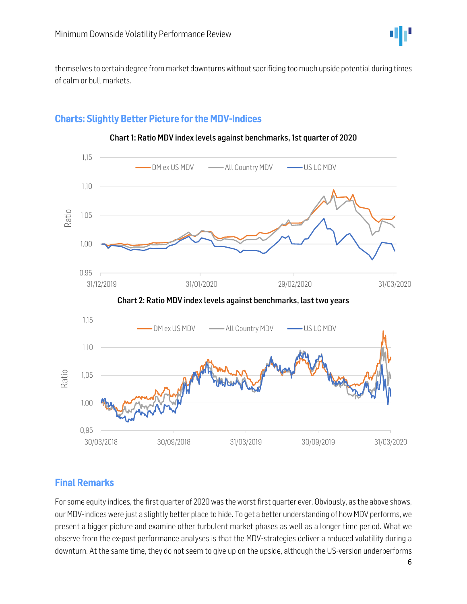

themselves to certain degree from market downturns without sacrificing too much upside potential during times of calm or bull markets.

## Charts: Slightly Better Picture for the MDV-Indices



#### Chart 1: Ratio MDV index levels against benchmarks, 1st quarter of 2020

#### Final Remarks

For some equity indices, the first quarter of 2020 was the worst first quarter ever. Obviously, as the above shows, our MDV-indices were just a slightly better place to hide. To get a better understanding of how MDV performs, we present a bigger picture and examine other turbulent market phases as well as a longer time period. What we observe from the ex-post performance analyses is that the MDV-strategies deliver a reduced volatility during a downturn. At the same time, they do not seem to give up on the upside, although the US-version underperforms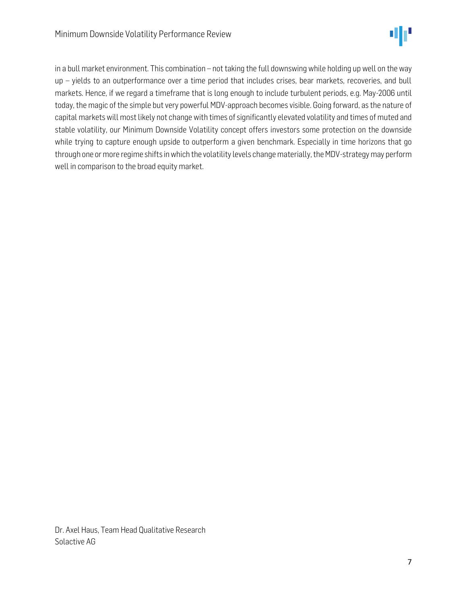

in a bull market environment. This combination – not taking the full downswing while holding up well on the way up – yields to an outperformance over a time period that includes crises, bear markets, recoveries, and bull markets. Hence, if we regard a timeframe that is long enough to include turbulent periods, e.g. May-2006 until today, the magic of the simple but very powerful MDV-approach becomes visible. Going forward, as the nature of capital markets will most likely not change with times of significantly elevated volatility and times of muted and stable volatility, our Minimum Downside Volatility concept offers investors some protection on the downside while trying to capture enough upside to outperform a given benchmark. Especially in time horizons that go through one or more regime shifts in which the volatility levels change materially, the MDV-strategy may perform well in comparison to the broad equity market.

Dr. Axel Haus, Team Head Qualitative Research Solactive AG